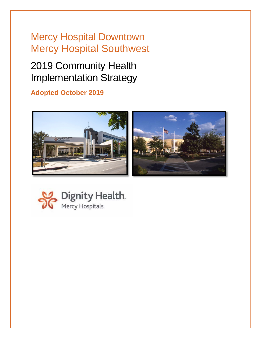# Mercy Hospital Downtown Mercy Hospital Southwest

# 2019 Community Health Implementation Strategy

### **Adopted October 2019**



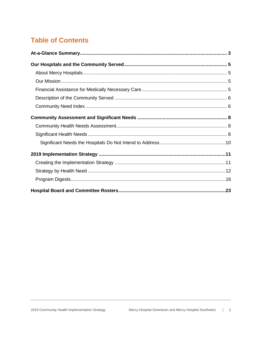## **Table of Contents**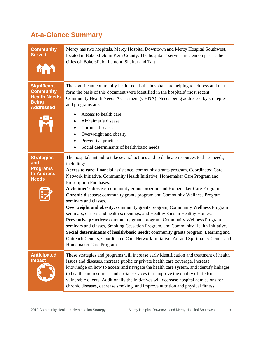## <span id="page-2-0"></span>**At-a-Glance Summary**

| <b>Community</b><br><b>Served</b>                                                                 | Mercy has two hospitals, Mercy Hospital Downtown and Mercy Hospital Southwest,<br>located in Bakersfield in Kern County. The hospitals' service area encompasses the<br>cities of: Bakersfield, Lamont, Shafter and Taft.                                                                                                                                                                                                                                                                                                                                                                                                                                                                                                                                                                                                                                                                                                                                                                                                                |
|---------------------------------------------------------------------------------------------------|------------------------------------------------------------------------------------------------------------------------------------------------------------------------------------------------------------------------------------------------------------------------------------------------------------------------------------------------------------------------------------------------------------------------------------------------------------------------------------------------------------------------------------------------------------------------------------------------------------------------------------------------------------------------------------------------------------------------------------------------------------------------------------------------------------------------------------------------------------------------------------------------------------------------------------------------------------------------------------------------------------------------------------------|
| <b>Significant</b><br><b>Community</b><br><b>Health Needs</b><br><b>Being</b><br><b>Addressed</b> | The significant community health needs the hospitals are helping to address and that<br>form the basis of this document were identified in the hospitals' most recent<br>Community Health Needs Assessment (CHNA). Needs being addressed by strategies<br>and programs are:<br>Access to health care                                                                                                                                                                                                                                                                                                                                                                                                                                                                                                                                                                                                                                                                                                                                     |
|                                                                                                   | Alzheimer's disease<br>Chronic diseases<br>Overweight and obesity<br>Preventive practices<br>Social determinants of health/basic needs                                                                                                                                                                                                                                                                                                                                                                                                                                                                                                                                                                                                                                                                                                                                                                                                                                                                                                   |
| <b>Strategies</b><br>and<br><b>Programs</b><br>to Address<br><b>Needs</b>                         | The hospitals intend to take several actions and to dedicate resources to these needs,<br>including:<br>Access to care: financial assistance, community grants program, Coordinated Care<br>Network Initiative, Community Health Initiative, Homemaker Care Program and<br>Prescription Purchases.<br>Alzheimer's disease: community grants program and Homemaker Care Program.<br>Chronic diseases: community grants program and Community Wellness Program<br>seminars and classes.<br><b>Overweight and obesity:</b> community grants program, Community Wellness Program<br>seminars, classes and health screenings, and Healthy Kids in Healthy Homes.<br>Preventive practices: community grants program, Community Wellness Program<br>seminars and classes, Smoking Cessation Program, and Community Health Initiative.<br>Social determinants of health/basic needs: community grants program, Learning and<br>Outreach Centers, Coordinated Care Network Initiative, Art and Spirituality Center and<br>Homemaker Care Program. |
| <b>Anticipated</b><br><b>Impact</b>                                                               | These strategies and programs will increase early identification and treatment of health<br>issues and diseases, increase public or private health care coverage, increase<br>knowledge on how to access and navigate the health care system, and identify linkages<br>to health care resources and social services that improve the quality of life for<br>vulnerable clients. Additionally the initiatives will decrease hospital admissions for<br>chronic diseases, decrease smoking, and improve nutrition and physical fitness.                                                                                                                                                                                                                                                                                                                                                                                                                                                                                                    |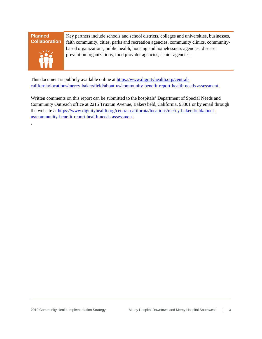#### **Planned Collaboration**



.

Key partners include schools and school districts, colleges and universities, businesses, faith community, cities, parks and recreation agencies, community clinics, communitybased organizations, public health, housing and homelessness agencies, disease prevention organizations, food provider agencies, senior agencies.

This document is publicly available online at [https://www.dignityhealth.org/central](https://www.dignityhealth.org/central-california/locations/mercy-bakersfield/about-us/community-benefit-report-health-needs-assessment)[california/locations/mercy-bakersfield/about-us/community-benefit-report-health-needs-assessment.](https://www.dignityhealth.org/central-california/locations/mercy-bakersfield/about-us/community-benefit-report-health-needs-assessment)

Written comments on this report can be submitted to the hospitals' Department of Special Needs and Community Outreach office at 2215 Truxtun Avenue, Bakersfield, California, 93301 or by email through the website at [https://www.dignityhealth.org/central-california/locations/mercy-bakersfield/about](https://www.dignityhealth.org/central-california/locations/mercy-bakersfield/about-us/community-benefit-report-health-needs-assessment)[us/community-benefit-report-health-needs-assessment.](https://www.dignityhealth.org/central-california/locations/mercy-bakersfield/about-us/community-benefit-report-health-needs-assessment)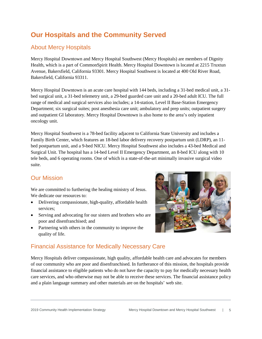### <span id="page-4-0"></span>**Our Hospitals and the Community Served**

### <span id="page-4-1"></span>About Mercy Hospitals

Mercy Hospital Downtown and Mercy Hospital Southwest (Mercy Hospitals) are members of Dignity Health, which is a part of CommonSpirit Health. Mercy Hospital Downtown is located at 2215 Truxtun Avenue, Bakersfield, California 93301. Mercy Hospital Southwest is located at 400 Old River Road, Bakersfield, California 93311.

Mercy Hospital Downtown is an acute care hospital with 144 beds, including a 31-bed medical unit, a 31 bed surgical unit, a 31-bed telemetry unit, a 29-bed guarded care unit and a 20-bed adult ICU. The full range of medical and surgical services also includes; a 14-station, Level II Base-Station Emergency Department; six surgical suites; post anesthesia care unit; ambulatory and prep units; outpatient surgery and outpatient GI laboratory. Mercy Hospital Downtown is also home to the area's only inpatient oncology unit.

Mercy Hospital Southwest is a 78-bed facility adjacent to California State University and includes a Family Birth Center, which features an 18-bed labor delivery recovery postpartum unit (LDRP), an 11 bed postpartum unit, and a 9-bed NICU. Mercy Hospital Southwest also includes a 43-bed Medical and Surgical Unit. The hospital has a 14-bed Level II Emergency Department, an 8-bed ICU along with 10 tele beds, and 6 operating rooms. One of which is a state-of-the-art minimally invasive surgical video suite.

#### <span id="page-4-2"></span>Our Mission

We are committed to furthering the healing ministry of Jesus. We dedicate our resources to:

- Delivering compassionate, high-quality, affordable health services;
- Serving and advocating for our sisters and brothers who are poor and disenfranchised; and
- Partnering with others in the community to improve the quality of life.



### <span id="page-4-3"></span>Financial Assistance for Medically Necessary Care

Mercy Hospitals deliver compassionate, high quality, affordable health care and advocates for members of our community who are poor and disenfranchised. In furtherance of this mission, the hospitals provide financial assistance to eligible patients who do not have the capacity to pay for medically necessary health care services, and who otherwise may not be able to receive these services. The financial assistance policy and a plain language summary and other materials are on the hospitals' web site.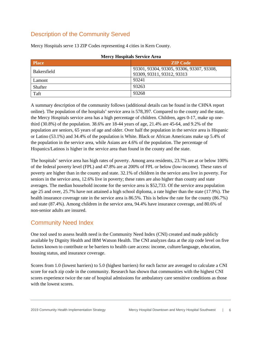### <span id="page-5-0"></span>Description of the Community Served

| <b>Mercy Hospitals Service Area</b> |                                           |
|-------------------------------------|-------------------------------------------|
| <b>Place</b>                        | <b>ZIP Code</b>                           |
| <b>Bakersfield</b>                  | 93301, 93304, 93305, 93306, 93307, 93308, |
|                                     | 93309, 93311, 93312, 93313                |
| Lamont                              | 93241                                     |
| Shafter                             | 93263                                     |
| Taft                                | 93268                                     |

Mercy Hospitals serve 13 ZIP Codes representing 4 cities in Kern County.

A summary description of the community follows (additional details can be found in the CHNA report online). The population of the hospitals' service area is 578,397. Compared to the county and the state, the Mercy Hospitals service area has a high percentage of children. Children, ages 0-17, make up onethird (30.8%) of the population. 38.6% are 18-44 years of age, 21.4% are 45-64, and 9.2% of the population are seniors, 65 years of age and older. Over half the population in the service area is Hispanic or Latino (53.1%) and 34.4% of the population is White. Black or African Americans make up 5.4% of the population in the service area, while Asians are 4.6% of the population. The percentage of Hispanics/Latinos is higher in the service area than found in the county and the state.

The hospitals' service area has high rates of poverty. Among area residents, 23.7% are at or below 100% of the federal poverty level (FPL) and 47.8% are at 200% of FPL or below (low-income). These rates of poverty are higher than in the county and state. 32.1% of children in the service area live in poverty. For seniors in the service area, 12.6% live in poverty; these rates are also higher than county and state averages. The median household income for the service area is \$52,733. Of the service area population age 25 and over, 25.7% have not attained a high school diploma, a rate higher than the state (17.9%). The health insurance coverage rate in the service area is 86.5%. This is below the rate for the county (86.7%) and state (87.4%). Among children in the service area, 94.4% have insurance coverage, and 80.6% of non-senior adults are insured.

### <span id="page-5-1"></span>Community Need Index

One tool used to assess health need is the Community Need Index (CNI) created and made publicly available by Dignity Health and IBM Watson Health. The CNI analyzes data at the zip code level on five factors known to contribute or be barriers to health care access: income, culture/language, education, housing status, and insurance coverage.

Scores from 1.0 (lowest barriers) to 5.0 (highest barriers) for each factor are averaged to calculate a CNI score for each zip code in the community. Research has shown that communities with the highest CNI scores experience twice the rate of hospital admissions for ambulatory care sensitive conditions as those with the lowest scores.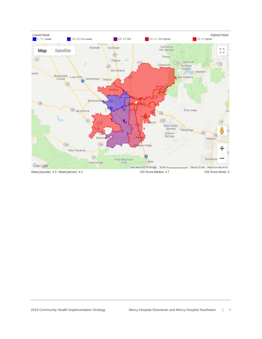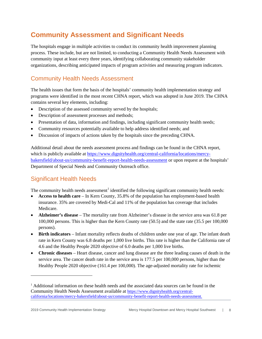### <span id="page-7-0"></span>**Community Assessment and Significant Needs**

The hospitals engage in multiple activities to conduct its community health improvement planning process. These include, but are not limited, to conducting a Community Health Needs Assessment with community input at least every three years, identifying collaborating community stakeholder organizations, describing anticipated impacts of program activities and measuring program indicators.

### <span id="page-7-1"></span>Community Health Needs Assessment

The health issues that form the basis of the hospitals' community health implementation strategy and programs were identified in the most recent CHNA report, which was adopted in June 2019. The CHNA contains several key elements, including:

- Description of the assessed community served by the hospitals;
- Description of assessment processes and methods;
- Presentation of data, information and findings, including significant community health needs;
- Community resources potentially available to help address identified needs; and
- Discussion of impacts of actions taken by the hospitals since the preceding CHNA.

Additional detail about the needs assessment process and findings can be found in the CHNA report, which is publicly available at [https://www.dignityhealth.org/central-california/locations/mercy](https://www.dignityhealth.org/central-california/locations/mercy-bakersfield/about-us/community-benefit-report-health-needs-assessment)[bakersfield/about-us/community-benefit-report-health-needs-assessment](https://www.dignityhealth.org/central-california/locations/mercy-bakersfield/about-us/community-benefit-report-health-needs-assessment) or upon request at the hospitals' Department of Special Needs and Community Outreach office.

### <span id="page-7-2"></span>Significant Health Needs

The community health needs assessment<sup>[1](#page-7-3)</sup> identified the following significant community health needs:

- **Access to health care** In Kern County, 35.8% of the population has employment-based health insurance. 35% are covered by Medi-Cal and 11% of the population has coverage that includes **Medicare**
- **Alzheimer's disease** The mortality rate from Alzheimer's disease in the service area was 61.8 per 100,000 persons. This is higher than the Kern County rate (50.5) and the state rate (35.5 per 100,000 persons).
- **Birth indicators** Infant mortality reflects deaths of children under one year of age. The infant death rate in Kern County was 6.8 deaths per 1,000 live births. This rate is higher than the California rate of 4.6 and the Healthy People 2020 objective of 6.0 deaths per 1,000 live births.
- **Chronic diseases** Heart disease, cancer and lung disease are the three leading causes of death in the service area. The cancer death rate in the service area is 177.5 per 100,000 persons, higher than the Healthy People 2020 objective (161.4 per 100,000). The age-adjusted mortality rate for ischemic

 $\overline{a}$ 

<span id="page-7-3"></span><sup>&</sup>lt;sup>1</sup> Additional information on these health needs and the associated data sources can be found in the Community Health Needs Assessment available at [https://www.dignityhealth.org/central](https://www.dignityhealth.org/central-california/locations/mercy-bakersfield/about-us/community-benefit-report-health-needs-assessment)[california/locations/mercy-bakersfield/about-us/community-benefit-report-health-needs-assessment.](https://www.dignityhealth.org/central-california/locations/mercy-bakersfield/about-us/community-benefit-report-health-needs-assessment)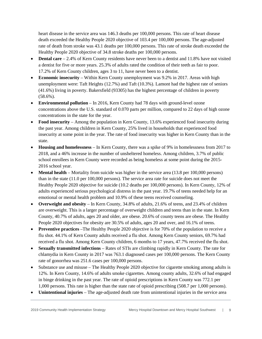heart disease in the service area was 146.3 deaths per 100,000 persons. This rate of heart disease death exceeded the Healthy People 2020 objective of 103.4 per 100,000 persons. The age-adjusted rate of death from stroke was 43.1 deaths per 100,000 persons. This rate of stroke death exceeded the Healthy People 2020 objective of 34.8 stroke deaths per 100,000 persons.

- **Dental care** 2.4% of Kern County residents have never been to a dentist and 11.8% have not visited a dentist for five or more years. 25.3% of adults rated the condition of their teeth as fair to poor. 17.2% of Kern County children, ages 3 to 11, have never been to a dentist.
- **Economic insecurity** Within Kern County unemployment was 9.2% in 2017. Areas with high unemployment were: Taft Heights (12.7%) and Taft (10.3%). Lamont had the highest rate of seniors (41.6%) living in poverty. Bakersfield (93305) has the highest percentage of children in poverty (58.6%).
- **Environmental pollution** In 2016, Kern County had 78 days with ground-level ozone concentrations above the U.S. standard of 0.070 parts per million, compared to 22 days of high ozone concentrations in the state for the year.
- **Food insecurity** Among the population in Kern County, 13.6% experienced food insecurity during the past year. Among children in Kern County, 25% lived in households that experienced food insecurity at some point in the year. The rate of food insecurity was higher in Kern County than in the state.
- **Housing and homelessness** In Kern County, there was a spike of 9% in homelessness from 2017 to 2018, and a 46% increase in the number of unsheltered homeless. Among children, 3.7% of public school enrollees in Kern County were recorded as being homeless at some point during the 2015- 2016 school year.
- **Mental health** Mortality from suicide was higher in the service area (13.8 per 100,000 persons) than in the state (11.0 per 100,000 persons). The service area rate for suicide does not meet the Healthy People 2020 objective for suicide (10.2 deaths per 100,000 persons). In Kern County, 12% of adults experienced serious psychological distress in the past year. 19.7% of teens needed help for an emotional or mental health problem and 10.9% of these teens received counseling.
- **Overweight and obesity** In Kern County, 34.8% of adults, 21.6% of teens, and 23.4% of children are overweight. This is a larger percentage of overweight children and teens than in the state. In Kern County, 40.7% of adults, ages 20 and older, are obese. 20.6% of county teens are obese. The Healthy People 2020 objectives for obesity are 30.5% of adults, ages 20 and over, and 16.1% of teens.
- **Preventive practices** –The Healthy People 2020 objective is for 70% of the population to receive a flu shot. 44.1% of Kern County adults received a flu shot. Among Kern County seniors, 69.7% had received a flu shot. Among Kern County children, 6 months to 17 years, 47.7% received the flu shot.
- **Sexually transmitted infections** Rates of STIs are climbing rapidly in Kern County. The rate for chlamydia in Kern County in 2017 was 763.1 diagnosed cases per 100,000 persons. The Kern County rate of gonorrhea was 251.6 cases per 100,000 persons.
- Substance use and misuse The Healthy People 2020 objective for cigarette smoking among adults is 12%. In Kern County, 14.6% of adults smoke cigarettes. Among county adults, 32.6% of had engaged in binge drinking in the past year. The rate of opioid prescriptions in Kern County was 772.1 per 1,000 persons. This rate is higher than the state rate of opioid prescribing (508.7 per 1,000 persons).
- **Unintentional injuries** The age-adjusted death rate from unintentional injuries in the service area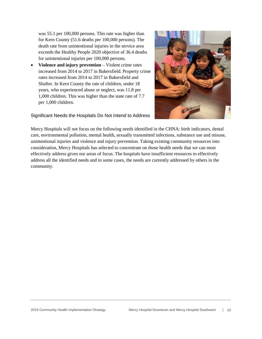was 55.1 per 100,000 persons. This rate was higher than for Kern County (51.6 deaths per 100,000 persons). The death rate from unintentional injuries in the service area exceeds the Healthy People 2020 objective of 36.4 deaths for unintentional injuries per 100,000 persons.

• **Violence and injury prevention** – Violent crime rates increased from 2014 to 2017 in Bakersfield. Property crime rates increased from 2014 to 2017 in Bakersfield and Shafter. In Kern County the rate of children, under 18 years, who experienced abuse or neglect, was 11.8 per 1,000 children. This was higher than the state rate of 7.7 per 1,000 children.

<span id="page-9-0"></span>



Mercy Hospitals will not focus on the following needs identified in the CHNA: birth indicators, dental care, environmental pollution, mental health, sexually transmitted infections, substance use and misuse, unintentional injuries and violence and injury prevention. Taking existing community resources into consideration, Mercy Hospitals has selected to concentrate on those health needs that we can most effectively address given our areas of focus. The hospitals have insufficient resources to effectively address all the identified needs and in some cases, the needs are currently addressed by others in the community.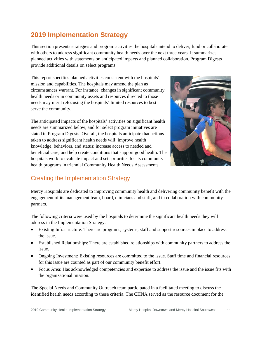### <span id="page-10-0"></span>**2019 Implementation Strategy**

This section presents strategies and program activities the hospitals intend to deliver, fund or collaborate with others to address significant community health needs over the next three years. It summarizes planned activities with statements on anticipated impacts and planned collaboration. Program Digests provide additional details on select programs.

This report specifies planned activities consistent with the hospitals' mission and capabilities. The hospitals may amend the plan as circumstances warrant. For instance, changes in significant community health needs or in community assets and resources directed to those needs may merit refocusing the hospitals' limited resources to best serve the community.

The anticipated impacts of the hospitals' activities on significant health needs are summarized below, and for select program initiatives are stated in Program Digests. Overall, the hospitals anticipate that actions taken to address significant health needs will: improve health knowledge, behaviors, and status; increase access to needed and beneficial care; and help create conditions that support good health. The hospitals work to evaluate impact and sets priorities for its community health programs in triennial Community Health Needs Assessments.



### <span id="page-10-1"></span>Creating the Implementation Strategy

Mercy Hospitals are dedicated to improving community health and delivering community benefit with the engagement of its management team, board, clinicians and staff, and in collaboration with community partners.

The following criteria were used by the hospitals to determine the significant health needs they will address in the Implementation Strategy:

- Existing Infrastructure: There are programs, systems, staff and support resources in place to address the issue.
- Established Relationships: There are established relationships with community partners to address the issue.
- Ongoing Investment: Existing resources are committed to the issue. Staff time and financial resources for this issue are counted as part of our community benefit effort.
- Focus Area: Has acknowledged competencies and expertise to address the issue and the issue fits with the organizational mission.

The Special Needs and Community Outreach team participated in a facilitated meeting to discuss the identified health needs according to these criteria. The CHNA served as the resource document for the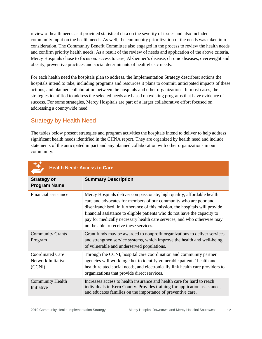review of health needs as it provided statistical data on the severity of issues and also included community input on the health needs. As well, the community prioritization of the needs was taken into consideration. The Community Benefit Committee also engaged in the process to review the health needs and confirm priority health needs. As a result of the review of needs and application of the above criteria, Mercy Hospitals chose to focus on: access to care, Alzheimer's disease, chronic diseases, overweight and obesity, preventive practices and social determinants of health/basic needs.

For each health need the hospitals plan to address, the Implementation Strategy describes: actions the hospitals intend to take, including programs and resources it plans to commit, anticipated impacts of these actions, and planned collaboration between the hospitals and other organizations. In most cases, the strategies identified to address the selected needs are based on existing programs that have evidence of success. For some strategies, Mercy Hospitals are part of a larger collaborative effort focused on addressing a countywide need.

### <span id="page-11-0"></span>Strategy by Health Need

The tables below present strategies and program activities the hospitals intend to deliver to help address significant health needs identified in the CHNA report. They are organized by health need and include statements of the anticipated impact and any planned collaboration with other organizations in our community.

| <b>Health Need: Access to Care</b>                      |                                                                                                                                                                                                                                                                                                                                                                                                                             |
|---------------------------------------------------------|-----------------------------------------------------------------------------------------------------------------------------------------------------------------------------------------------------------------------------------------------------------------------------------------------------------------------------------------------------------------------------------------------------------------------------|
| <b>Strategy or</b><br><b>Program Name</b>               | <b>Summary Description</b>                                                                                                                                                                                                                                                                                                                                                                                                  |
| Financial assistance                                    | Mercy Hospitals deliver compassionate, high quality, affordable health<br>care and advocates for members of our community who are poor and<br>disenfranchised. In furtherance of this mission, the hospitals will provide<br>financial assistance to eligible patients who do not have the capacity to<br>pay for medically necessary health care services, and who otherwise may<br>not be able to receive these services. |
| <b>Community Grants</b><br>Program                      | Grant funds may be awarded to nonprofit organizations to deliver services<br>and strengthen service systems, which improve the health and well-being<br>of vulnerable and underserved populations.                                                                                                                                                                                                                          |
| <b>Coordinated Care</b><br>Network Initiative<br>(CCNI) | Through the CCNI, hospital care coordination and community partner<br>agencies will work together to identify vulnerable patients' health and<br>health-related social needs, and electronically link health care providers to<br>organizations that provide direct services.                                                                                                                                               |
| <b>Community Health</b><br>Initiative                   | Increases access to health insurance and health care for hard to reach<br>individuals in Kern County. Provides training for application assistance,<br>and educates families on the importance of preventive care.                                                                                                                                                                                                          |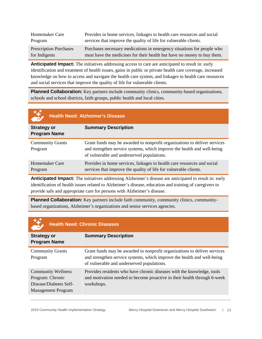| Homemaker Care                | Provides in home services, linkages to health care resources and social |
|-------------------------------|-------------------------------------------------------------------------|
| Program                       | services that improve the quality of life for vulnerable clients.       |
| <b>Prescription Purchases</b> | Purchases necessary medications in emergency situations for people who  |
| for Indigents                 | must have the medicines for their health but have no money to buy them. |

**Anticipated Impact:** The initiatives addressing access to care are anticipated to result in: early identification and treatment of health issues, gains in public or private health care coverage, increased knowledge on how to access and navigate the health care system, and linkages to health care resources and social services that improve the quality of life for vulnerable clients.

**Planned Collaboration:** Key partners include community clinics, community-based organizations, schools and school districts, faith groups, public health and local cities.

| $\frac{14}{2}$                            | <b>Health Need: Alzheimer's Disease</b>                                                                                                                                                            |
|-------------------------------------------|----------------------------------------------------------------------------------------------------------------------------------------------------------------------------------------------------|
| <b>Strategy or</b><br><b>Program Name</b> | <b>Summary Description</b>                                                                                                                                                                         |
| <b>Community Grants</b><br>Program        | Grant funds may be awarded to nonprofit organizations to deliver services<br>and strengthen service systems, which improve the health and well-being<br>of vulnerable and underserved populations. |
| Homemaker Care<br>Program                 | Provides in home services, linkages to health care resources and social<br>services that improve the quality of life for vulnerable clients.                                                       |

**Anticipated Impact:** The initiatives addressing Alzheimer's disease are anticipated to result in: early identification of health issues related to Alzheimer's disease, education and training of caregivers to provide safe and appropriate care for persons with Alzheimer's disease.

**Planned Collaboration:** Key partners include faith community, community clinics, communitybased organizations, Alzheimer's organizations and senior services agencies.

| $\frac{14}{2}$                                                                                       | <b>Health Need: Chronic Diseases</b>                                                                                                                                                               |
|------------------------------------------------------------------------------------------------------|----------------------------------------------------------------------------------------------------------------------------------------------------------------------------------------------------|
| <b>Strategy or</b><br><b>Program Name</b>                                                            | <b>Summary Description</b>                                                                                                                                                                         |
| <b>Community Grants</b><br>Program                                                                   | Grant funds may be awarded to nonprofit organizations to deliver services<br>and strengthen service systems, which improve the health and well-being<br>of vulnerable and underserved populations. |
| <b>Community Wellness</b><br>Program: Chronic<br>Disease/Diabetes Self-<br><b>Management Program</b> | Provides residents who have chronic diseases with the knowledge, tools<br>and motivation needed to become proactive in their health through 6-week<br>workshops.                                   |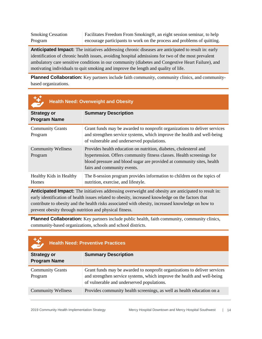Smoking Cessation Program Facilitates Freedom From Smoking®, an eight session seminar, to help encourage participants to work on the process and problems of quitting.

**Anticipated Impact:** The initiatives addressing chronic diseases are anticipated to result in: early identification of chronic health issues, avoiding hospital admissions for two of the most prevalent ambulatory care sensitive conditions in our community (diabetes and Congestive Heart Failure), and motivating individuals to quit smoking and improve the length and quality of life.

**Planned Collaboration:** Key partners include faith community, community clinics, and communitybased organizations.

|                                           | <b>Health Need: Overweight and Obesity</b>                                                                                                                                                                                                          |
|-------------------------------------------|-----------------------------------------------------------------------------------------------------------------------------------------------------------------------------------------------------------------------------------------------------|
| <b>Strategy or</b><br><b>Program Name</b> | <b>Summary Description</b>                                                                                                                                                                                                                          |
| <b>Community Grants</b><br>Program        | Grant funds may be awarded to nonprofit organizations to deliver services<br>and strengthen service systems, which improve the health and well-being<br>of vulnerable and underserved populations.                                                  |
| <b>Community Wellness</b><br>Program      | Provides health education on nutrition, diabetes, cholesterol and<br>hypertension. Offers community fitness classes. Health screenings for<br>blood pressure and blood sugar are provided at community sites, health<br>fairs and community events. |
| Healthy Kids in Healthy<br><b>Homes</b>   | The 8-session program provides information to children on the topics of<br>nutrition, exercise, and lifestyle.                                                                                                                                      |

**Anticipated Impact:** The initiatives addressing overweight and obesity are anticipated to result in: early identification of health issues related to obesity, increased knowledge on the factors that contribute to obesity and the health risks associated with obesity, increased knowledge on how to prevent obesity through nutrition and physical fitness.

**Planned Collaboration:** Key partners include public health, faith community, community clinics, community-based organizations, schools and school districts.

| 慧                                         | <b>Health Need: Preventive Practices</b>                                                                                                                                                           |
|-------------------------------------------|----------------------------------------------------------------------------------------------------------------------------------------------------------------------------------------------------|
| <b>Strategy or</b><br><b>Program Name</b> | <b>Summary Description</b>                                                                                                                                                                         |
| <b>Community Grants</b><br>Program        | Grant funds may be awarded to nonprofit organizations to deliver services<br>and strengthen service systems, which improve the health and well-being<br>of vulnerable and underserved populations. |
| <b>Community Wellness</b>                 | Provides community health screenings, as well as health education on a                                                                                                                             |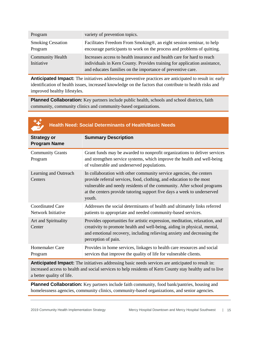| Program                               | variety of prevention topics.                                                                                                                                                                                      |
|---------------------------------------|--------------------------------------------------------------------------------------------------------------------------------------------------------------------------------------------------------------------|
| <b>Smoking Cessation</b><br>Program   | Facilitates Freedom From Smoking®, an eight session seminar, to help<br>encourage participants to work on the process and problems of quitting.                                                                    |
| <b>Community Health</b><br>Initiative | Increases access to health insurance and health care for hard to reach<br>individuals in Kern County. Provides training for application assistance,<br>and educates families on the importance of preventive care. |

**Anticipated Impact:** The initiatives addressing preventive practices are anticipated to result in: early identification of health issues, increased knowledge on the factors that contribute to health risks and improved healthy lifestyles.

**Planned Collaboration:** Key partners include public health, schools and school districts, faith community, community clinics and community-based organizations.

|                                               | <b>Health Need: Social Determinants of Health/Basic Needs</b>                                                                                                                                                                                                                                              |
|-----------------------------------------------|------------------------------------------------------------------------------------------------------------------------------------------------------------------------------------------------------------------------------------------------------------------------------------------------------------|
| <b>Strategy or</b><br><b>Program Name</b>     | <b>Summary Description</b>                                                                                                                                                                                                                                                                                 |
| <b>Community Grants</b><br>Program            | Grant funds may be awarded to nonprofit organizations to deliver services<br>and strengthen service systems, which improve the health and well-being<br>of vulnerable and underserved populations.                                                                                                         |
| Learning and Outreach<br>Centers              | In collaboration with other community service agencies, the centers<br>provide referral services, food, clothing, and education to the most<br>vulnerable and needy residents of the community. After school programs<br>at the centers provide tutoring support five days a week to underserved<br>youth. |
| <b>Coordinated Care</b><br>Network Initiative | Addresses the social determinants of health and ultimately links referred<br>patients to appropriate and needed community-based services.                                                                                                                                                                  |
| Art and Spirituality<br>Center                | Provides opportunities for artistic expression, meditation, relaxation, and<br>creativity to promote health and well-being, aiding in physical, mental,<br>and emotional recovery, including relieving anxiety and decreasing the<br>perception of pain.                                                   |
| Homemaker Care<br>Program                     | Provides in home services, linkages to health care resources and social<br>services that improve the quality of life for vulnerable clients.                                                                                                                                                               |

**Anticipated Impact:** The initiatives addressing basic needs services are anticipated to result in: increased access to health and social services to help residents of Kern County stay healthy and to live a better quality of life.

**Planned Collaboration:** Key partners include faith community, food bank/pantries, housing and homelessness agencies, community clinics, community-based organizations, and senior agencies.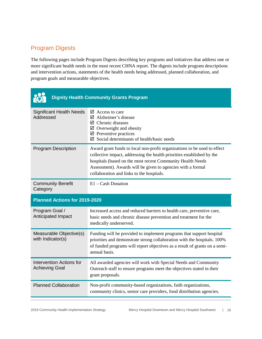### <span id="page-15-0"></span>Program Digests

The following pages include Program Digests describing key programs and initiatives that address one or more significant health needs in the most recent CHNA report. The digests include program descriptions and intervention actions, statements of the health needs being addressed, planned collaboration, and program goals and measurable objectives.

|                                                          | <b>Dignity Health Community Grants Program</b>                                                                                                                                                                                                                                                                               |
|----------------------------------------------------------|------------------------------------------------------------------------------------------------------------------------------------------------------------------------------------------------------------------------------------------------------------------------------------------------------------------------------|
| <b>Significant Health Needs</b><br>Addressed             | $\boxtimes$ Access to care<br>$\boxtimes$ Alzheimer's disease<br>$\boxtimes$ Chronic diseases<br>$\boxtimes$ Overweight and obesity<br>$\boxtimes$ Preventive practices<br>$\boxtimes$ Social determinants of health/basic needs                                                                                             |
| <b>Program Description</b>                               | Award grant funds to local non-profit organizations to be used to effect<br>collective impact, addressing the health priorities established by the<br>hospitals (based on the most recent Community Health Needs<br>Assessment). Awards will be given to agencies with a formal<br>collaboration and links to the hospitals. |
| <b>Community Benefit</b><br>Category                     | $E1 - Cash$ Donation                                                                                                                                                                                                                                                                                                         |
|                                                          |                                                                                                                                                                                                                                                                                                                              |
| <b>Planned Actions for 2019-2020</b>                     |                                                                                                                                                                                                                                                                                                                              |
| Program Goal /<br>Anticipated Impact                     | Increased access and reduced barriers to health care, preventive care,<br>basic needs and chronic disease prevention and treatment for the<br>medically underserved.                                                                                                                                                         |
| Measurable Objective(s)<br>with Indicator(s)             | Funding will be provided to implement programs that support hospital<br>priorities and demonstrate strong collaboration with the hospitals. 100%<br>of funded programs will report objectives as a result of grants on a semi-<br>annual basis.                                                                              |
| <b>Intervention Actions for</b><br><b>Achieving Goal</b> | All awarded agencies will work with Special Needs and Community<br>Outreach staff to ensure programs meet the objectives stated in their<br>grant proposals.                                                                                                                                                                 |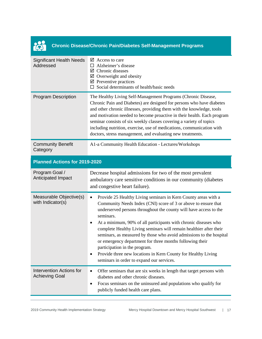| <b>Chronic Disease/Chronic Pain/Diabetes Self-Management Programs</b> |                                                                                                                                                                                                                                                                                                                                                                                                                                                                                                                                                                                                                                                                      |
|-----------------------------------------------------------------------|----------------------------------------------------------------------------------------------------------------------------------------------------------------------------------------------------------------------------------------------------------------------------------------------------------------------------------------------------------------------------------------------------------------------------------------------------------------------------------------------------------------------------------------------------------------------------------------------------------------------------------------------------------------------|
| <b>Significant Health Needs</b><br>Addressed                          | $\boxtimes$ Access to care<br>Alzheimer's disease<br>П.<br>$\boxtimes$ Chronic diseases<br>Overweight and obesity<br>☑<br>$\boxtimes$ Preventive practices<br>Social determinants of health/basic needs                                                                                                                                                                                                                                                                                                                                                                                                                                                              |
| <b>Program Description</b>                                            | The Healthy Living Self-Management Programs (Chronic Disease,<br>Chronic Pain and Diabetes) are designed for persons who have diabetes<br>and other chronic illnesses, providing them with the knowledge, tools<br>and motivation needed to become proactive in their health. Each program<br>seminar consists of six weekly classes covering a variety of topics<br>including nutrition, exercise, use of medications, communication with<br>doctors, stress management, and evaluating new treatments.                                                                                                                                                             |
| <b>Community Benefit</b><br>Category                                  | A1-a Community Health Education - Lectures/Workshops                                                                                                                                                                                                                                                                                                                                                                                                                                                                                                                                                                                                                 |
| Planned Actions for 2019-2020                                         |                                                                                                                                                                                                                                                                                                                                                                                                                                                                                                                                                                                                                                                                      |
| Program Goal /                                                        |                                                                                                                                                                                                                                                                                                                                                                                                                                                                                                                                                                                                                                                                      |
| Anticipated Impact                                                    | Decrease hospital admissions for two of the most prevalent<br>ambulatory care sensitive conditions in our community (diabetes<br>and congestive heart failure).                                                                                                                                                                                                                                                                                                                                                                                                                                                                                                      |
| Measurable Objective(s)<br>with Indicator(s)                          | Provide 25 Healthy Living seminars in Kern County areas with a<br>$\bullet$<br>Community Needs Index (CNI) score of 3 or above to ensure that<br>underserved persons throughout the county will have access to the<br>seminars.<br>At a minimum, 90% of all participants with chronic diseases who<br>٠<br>complete Healthy Living seminars will remain healthier after their<br>seminars, as measured by those who avoid admissions to the hospital<br>or emergency department for three months following their<br>participation in the program.<br>Provide three new locations in Kern County for Healthy Living<br>٠<br>seminars in order to expand our services. |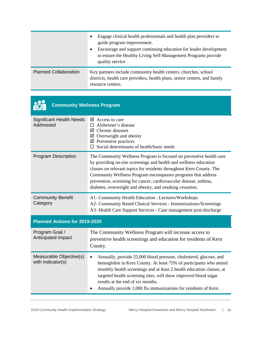|                              | Engage clinical health professionals and health plan providers to<br>$\bullet$<br>guide program improvement.<br>Encourage and support continuing education for leader development<br>$\bullet$<br>to ensure the Healthy Living Self-Management Programs provide<br>quality service |
|------------------------------|------------------------------------------------------------------------------------------------------------------------------------------------------------------------------------------------------------------------------------------------------------------------------------|
| <b>Planned Collaboration</b> | Key partners include community health centers, churches, school<br>districts, health care providers, health plans, senior centers, and family<br>resource centers.                                                                                                                 |

| <b>Community Wellness Program</b>            |                                                                                                                                                                                                                                                                                                                                                                                                                   |
|----------------------------------------------|-------------------------------------------------------------------------------------------------------------------------------------------------------------------------------------------------------------------------------------------------------------------------------------------------------------------------------------------------------------------------------------------------------------------|
| <b>Significant Health Needs</b><br>Addressed | $\triangleright$ Access to care<br>Alzheimer's disease<br>П<br>$\boxtimes$ Chronic diseases<br>$\boxtimes$ Overweight and obesity<br>$\boxtimes$ Preventive practices<br>Social determinants of health/basic needs                                                                                                                                                                                                |
| <b>Program Description</b>                   | The Community Wellness Program is focused on preventive health care<br>by providing on-site screenings and health and wellness education<br>classes on relevant topics for residents throughout Kern County. The<br>Community Wellness Program encompasses programs that address<br>prevention, screening for cancer, cardiovascular disease, asthma,<br>diabetes, overweight and obesity, and smoking cessation. |
| <b>Community Benefit</b><br>Category         | A1- Community Health Education - Lectures/Workshops<br>A2- Community Based Clinical Services - Immunizations/Screenings<br>A3- Health Care Support Services - Case management post-discharge                                                                                                                                                                                                                      |
| Planned Actions for 2019-2020                |                                                                                                                                                                                                                                                                                                                                                                                                                   |
| Program Goal /<br>Anticipated Impact         | The Community Wellness Program will increase access to<br>preventive health screenings and education for residents of Kern<br>County.                                                                                                                                                                                                                                                                             |
| Measurable Objective(s)<br>with Indicator(s) | Annually, provide 25,000 blood pressure, cholesterol, glucose, and<br>$\bullet$<br>hemoglobin in Kern County. At least 75% of participants who attend<br>monthly health screenings and at least 2 health education classes, at<br>targeted health screening sites, will show improved blood sugar<br>results at the end of six months.<br>Annually provide 1,000 flu immunizations for residents of Kern          |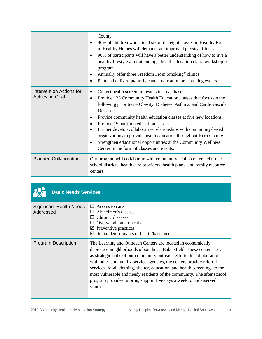|                                                          | County.<br>80% of children who attend six of the eight classes in Healthy Kids<br>$\bullet$<br>in Healthy Homes will demonstrate improved physical fitness.<br>90% of participants will have a better understanding of how to live a<br>$\bullet$<br>healthy lifestyle after attending a health education class, workshop or<br>program.<br>Annually offer three Freedom From Smoking <sup>®</sup> clinics.<br>$\bullet$<br>Plan and deliver quarterly cancer education or screening events.<br>$\bullet$                                                                                                                        |
|----------------------------------------------------------|----------------------------------------------------------------------------------------------------------------------------------------------------------------------------------------------------------------------------------------------------------------------------------------------------------------------------------------------------------------------------------------------------------------------------------------------------------------------------------------------------------------------------------------------------------------------------------------------------------------------------------|
| <b>Intervention Actions for</b><br><b>Achieving Goal</b> | Collect health screening results in a database.<br>٠<br>Provide 125 Community Health Education classes that focus on the<br>$\bullet$<br>following priorities – Obesity, Diabetes, Asthma, and Cardiovascular<br>Disease.<br>Provide community health education classes at five new locations.<br>٠<br>Provide 15 nutrition education classes.<br>Further develop collaborative relationships with community-based<br>$\bullet$<br>organizations to provide health education throughout Kern County.<br>Strengthen educational opportunities at the Community Wellness<br>$\bullet$<br>Center in the form of classes and events. |
| <b>Planned Collaboration</b>                             | Our program will collaborate with community health centers, churches,<br>school districts, health care providers, health plans, and family resource<br>centers.                                                                                                                                                                                                                                                                                                                                                                                                                                                                  |

| <b>Basic Needs Services</b>           |                                                                                                                                                                                                                                                                                                                                                                                                                                                                                                                               |
|---------------------------------------|-------------------------------------------------------------------------------------------------------------------------------------------------------------------------------------------------------------------------------------------------------------------------------------------------------------------------------------------------------------------------------------------------------------------------------------------------------------------------------------------------------------------------------|
| Significant Health Needs<br>Addressed | Access to care<br>П<br>Alzheimer's disease<br>Chronic diseases<br>Overweight and obesity<br>Preventive practices<br>☑<br>Social determinants of health/basic needs<br>☑                                                                                                                                                                                                                                                                                                                                                       |
| <b>Program Description</b>            | The Learning and Outreach Centers are located in economically<br>depressed neighborhoods of southeast Bakersfield. These centers serve<br>as strategic hubs of our community outreach efforts. In collaboration<br>with other community service agencies, the centers provide referral<br>services, food, clothing, shelter, education, and health screenings to the<br>most vulnerable and needy residents of the community. The after school<br>program provides tutoring support five days a week to underserved<br>youth. |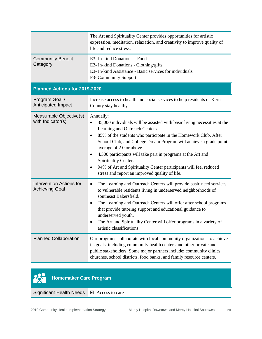|                                                          | The Art and Spirituality Center provides opportunities for artistic<br>expression, meditation, relaxation, and creativity to improve quality of<br>life and reduce stress.                                                                                                                                                                                                                                                                                                                                                   |
|----------------------------------------------------------|------------------------------------------------------------------------------------------------------------------------------------------------------------------------------------------------------------------------------------------------------------------------------------------------------------------------------------------------------------------------------------------------------------------------------------------------------------------------------------------------------------------------------|
| <b>Community Benefit</b><br>Category                     | E3- In-kind Donations - Food<br>E3- In-kind Donations - Clothing/gifts<br>E3- In-kind Assistance - Basic services for individuals<br>F3- Community Support                                                                                                                                                                                                                                                                                                                                                                   |
| <b>Planned Actions for 2019-2020</b>                     |                                                                                                                                                                                                                                                                                                                                                                                                                                                                                                                              |
| Program Goal /<br>Anticipated Impact                     | Increase access to health and social services to help residents of Kern<br>County stay healthy.                                                                                                                                                                                                                                                                                                                                                                                                                              |
| Measurable Objective(s)<br>with Indicator(s)             | Annually:<br>35,000 individuals will be assisted with basic living necessities at the<br>$\bullet$<br>Learning and Outreach Centers.<br>85% of the students who participate in the Homework Club, After<br>٠<br>School Club, and College Dream Program will achieve a grade point<br>average of 2.0 or above.<br>4,500 participants will take part in programs at the Art and<br>Spirituality Center.<br>94% of Art and Spirituality Center participants will feel reduced<br>stress and report an improved quality of life. |
| <b>Intervention Actions for</b><br><b>Achieving Goal</b> | The Learning and Outreach Centers will provide basic need services<br>$\bullet$<br>to vulnerable residents living in underserved neighborhoods of<br>southeast Bakersfield.<br>The Learning and Outreach Centers will offer after school programs<br>that provide tutoring support and educational guidance to<br>underserved youth.<br>The Art and Spirituality Center will offer programs in a variety of<br>artistic classifications.                                                                                     |
| <b>Planned Collaboration</b>                             | Our programs collaborate with local community organizations to achieve<br>its goals, including community health centers and other private and<br>public stakeholders. Some major partners include: community clinics,<br>churches, school districts, food banks, and family resource centers.                                                                                                                                                                                                                                |

#### **in Homemaker Care Program**

Significant Health Needs **Ø** Access to care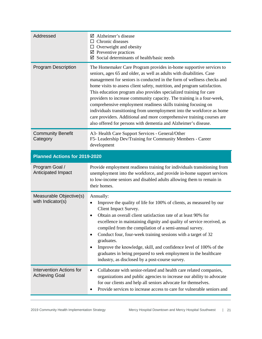| Addressed                                                | $\boxtimes$ Alzheimer's disease<br>$\Box$ Chronic diseases<br>$\Box$ Overweight and obesity<br>$\boxtimes$ Preventive practices<br>$\boxtimes$ Social determinants of health/basic needs                                                                                                                                                                                                                                                                                                                                                                                                                                                                                                                                                    |
|----------------------------------------------------------|---------------------------------------------------------------------------------------------------------------------------------------------------------------------------------------------------------------------------------------------------------------------------------------------------------------------------------------------------------------------------------------------------------------------------------------------------------------------------------------------------------------------------------------------------------------------------------------------------------------------------------------------------------------------------------------------------------------------------------------------|
| <b>Program Description</b>                               | The Homemaker Care Program provides in-home supportive services to<br>seniors, ages 65 and older, as well as adults with disabilities. Case<br>management for seniors is conducted in the form of wellness checks and<br>home visits to assess client safety, nutrition, and program satisfaction.<br>This education program also provides specialized training for care<br>providers to increase community capacity. The training is a four-week,<br>comprehensive employment readiness skills training focusing on<br>individuals transitioning from unemployment into the workforce as home<br>care providers. Additional and more comprehensive training courses are<br>also offered for persons with dementia and Alzheimer's disease. |
| <b>Community Benefit</b><br>Category                     | A3- Health Care Support Services - General/Other<br>F5- Leadership Dev/Training for Community Members - Career<br>development                                                                                                                                                                                                                                                                                                                                                                                                                                                                                                                                                                                                               |
| Planned Actions for 2019-2020                            |                                                                                                                                                                                                                                                                                                                                                                                                                                                                                                                                                                                                                                                                                                                                             |
| Program Goal /<br>Anticipated Impact                     | Provide employment readiness training for individuals transitioning from<br>unemployment into the workforce, and provide in-home support services<br>to low-income seniors and disabled adults allowing them to remain in<br>their homes.                                                                                                                                                                                                                                                                                                                                                                                                                                                                                                   |
| Measurable Objective(s)<br>with Indicator(s)             | Annually:<br>Improve the quality of life for 100% of clients, as measured by our<br>Client Impact Survey.<br>Obtain an overall client satisfaction rate of at least 90% for<br>$\bullet$<br>excellence in maintaining dignity and quality of service received, as<br>compiled from the compilation of a semi-annual survey.<br>Conduct four, four-week training sessions with a target of 32<br>$\bullet$<br>graduates.<br>Improve the knowledge, skill, and confidence level of 100% of the<br>٠<br>graduates in being prepared to seek employment in the healthcare<br>industry, as disclosed by a post-course survey.                                                                                                                    |
| <b>Intervention Actions for</b><br><b>Achieving Goal</b> | Collaborate with senior-related and health care related companies,<br>٠<br>organizations and public agencies to increase our ability to advocate<br>for our clients and help all seniors advocate for themselves.<br>Provide services to increase access to care for vulnerable seniors and                                                                                                                                                                                                                                                                                                                                                                                                                                                 |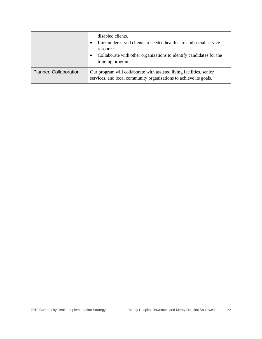|                              | disabled clients.<br>Link underserved clients to needed health care and social service<br>resources.<br>Collaborate with other organizations to identify candidates for the<br>$\bullet$<br>training program. |
|------------------------------|---------------------------------------------------------------------------------------------------------------------------------------------------------------------------------------------------------------|
| <b>Planned Collaboration</b> | Our program will collaborate with assisted living facilities, senior<br>services, and local community organizations to achieve its goals.                                                                     |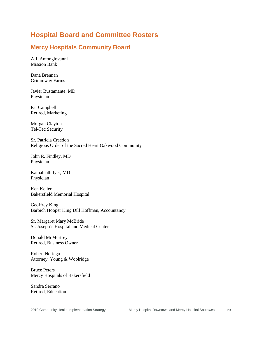### <span id="page-22-0"></span>**Hospital Board and Committee Rosters**

#### **Mercy Hospitals Community Board**

A.J. Antongiovanni Mission Bank

Dana Brennan Grimmway Farms

Javier Bustamante, MD Physician

Pat Campbell Retired, Marketing

Morgan Clayton Tel-Tec Security

Sr. Patricia Creedon Religious Order of the Sacred Heart Oakwood Community

John R. Findley, MD Physician

Kamalnath Iyer, MD Physician

Ken Keller Bakersfield Memorial Hospital

Geoffrey King Barbich Hooper King Dill Hoffman, Accountancy

Sr. Margaret Mary McBride St. Joseph's Hospital and Medical Center

Donald McMurtrey Retired, Business Owner

Robert Noriega Attorney, Young & Woolridge

Bruce Peters Mercy Hospitals of Bakersfield

Sandra Serrano Retired, Education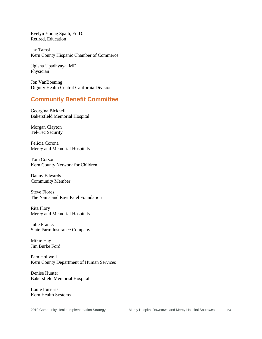Evelyn Young Spath, Ed.D. Retired, Education

Jay Tamsi Kern County Hispanic Chamber of Commerce

Jigisha Upadhyaya, MD Physician

Jon VanBoening Dignity Health Central California Division

#### **Community Benefit Committee**

Georgina Bicknell Bakersfield Memorial Hospital

Morgan Clayton Tel-Tec Security

Felicia Corona Mercy and Memorial Hospitals

Tom Corson Kern County Network for Children

Danny Edwards Community Member

Steve Flores The Naina and Ravi Patel Foundation

Rita Flory Mercy and Memorial Hospitals

Julie Franks State Farm Insurance Company

Mikie Hay Jim Burke Ford

Pam Holiwell Kern County Department of Human Services

Denise Hunter Bakersfield Memorial Hospital

Louie Iturruria Kern Health Systems